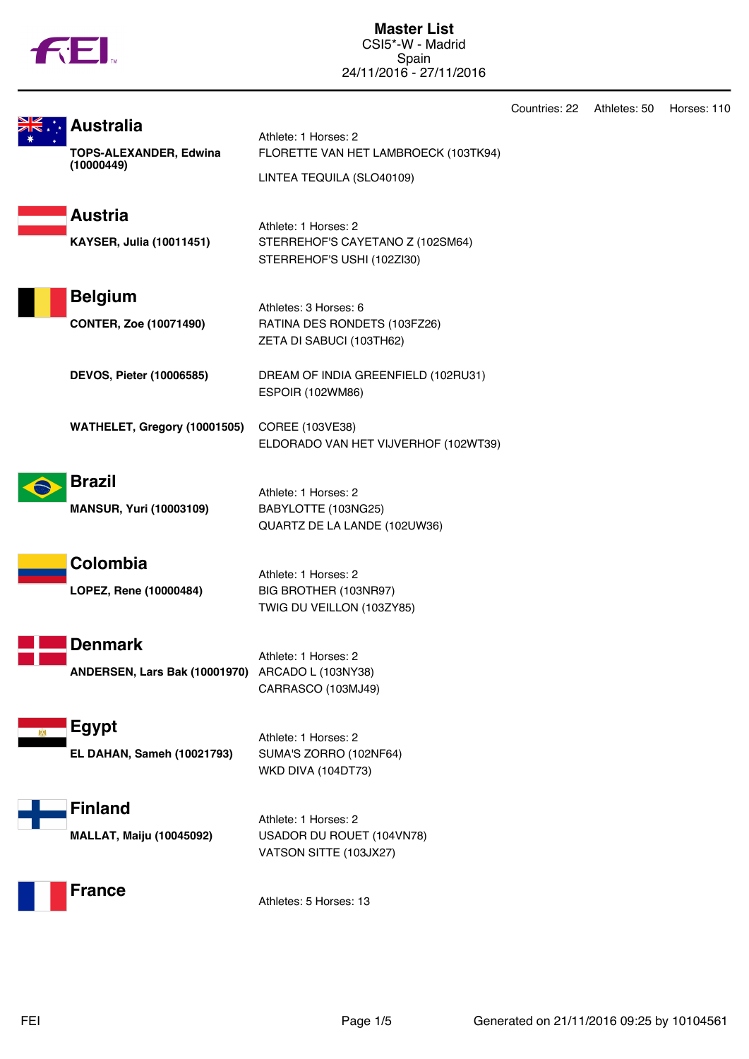|  | w |
|--|---|

**Master List** CSI5\*-W - Madrid Spain 24/11/2016 - 27/11/2016

|                                                                 |                                                                                           | Countries: 22 | Athletes: 50 | Horses: 110 |
|-----------------------------------------------------------------|-------------------------------------------------------------------------------------------|---------------|--------------|-------------|
| <b>Australia</b><br><b>TOPS-ALEXANDER, Edwina</b><br>(10000449) | Athlete: 1 Horses: 2<br>FLORETTE VAN HET LAMBROECK (103TK94)<br>LINTEA TEQUILA (SLO40109) |               |              |             |
| <b>Austria</b><br><b>KAYSER, Julia (10011451)</b>               | Athlete: 1 Horses: 2<br>STERREHOF'S CAYETANO Z (102SM64)<br>STERREHOF'S USHI (102ZI30)    |               |              |             |
| <b>Belgium</b><br><b>CONTER, Zoe (10071490)</b>                 | Athletes: 3 Horses: 6<br>RATINA DES RONDETS (103FZ26)<br>ZETA DI SABUCI (103TH62)         |               |              |             |
| <b>DEVOS, Pieter (10006585)</b>                                 | DREAM OF INDIA GREENFIELD (102RU31)<br><b>ESPOIR (102WM86)</b>                            |               |              |             |
| WATHELET, Gregory (10001505)                                    | COREE (103VE38)<br>ELDORADO VAN HET VIJVERHOF (102WT39)                                   |               |              |             |
| <b>Brazil</b><br><b>MANSUR, Yuri (10003109)</b>                 | Athlete: 1 Horses: 2<br>BABYLOTTE (103NG25)<br>QUARTZ DE LA LANDE (102UW36)               |               |              |             |
| Colombia<br>LOPEZ, Rene (10000484)                              | Athlete: 1 Horses: 2<br>BIG BROTHER (103NR97)<br>TWIG DU VEILLON (103ZY85)                |               |              |             |
| Denmark<br>ANDERSEN, Lars Bak (10001970) ARCADO L (103NY38)     | Athlete: 1 Horses: 2<br>CARRASCO (103MJ49)                                                |               |              |             |
| <b>Egypt</b><br>EL DAHAN, Sameh (10021793)                      | Athlete: 1 Horses: 2<br>SUMA'S ZORRO (102NF64)<br><b>WKD DIVA (104DT73)</b>               |               |              |             |
| <b>Finland</b><br><b>MALLAT, Maiju (10045092)</b>               | Athlete: 1 Horses: 2<br>USADOR DU ROUET (104VN78)<br>VATSON SITTE (103JX27)               |               |              |             |
| <b>France</b>                                                   | Athletes: 5 Horses: 13                                                                    |               |              |             |
|                                                                 |                                                                                           |               |              |             |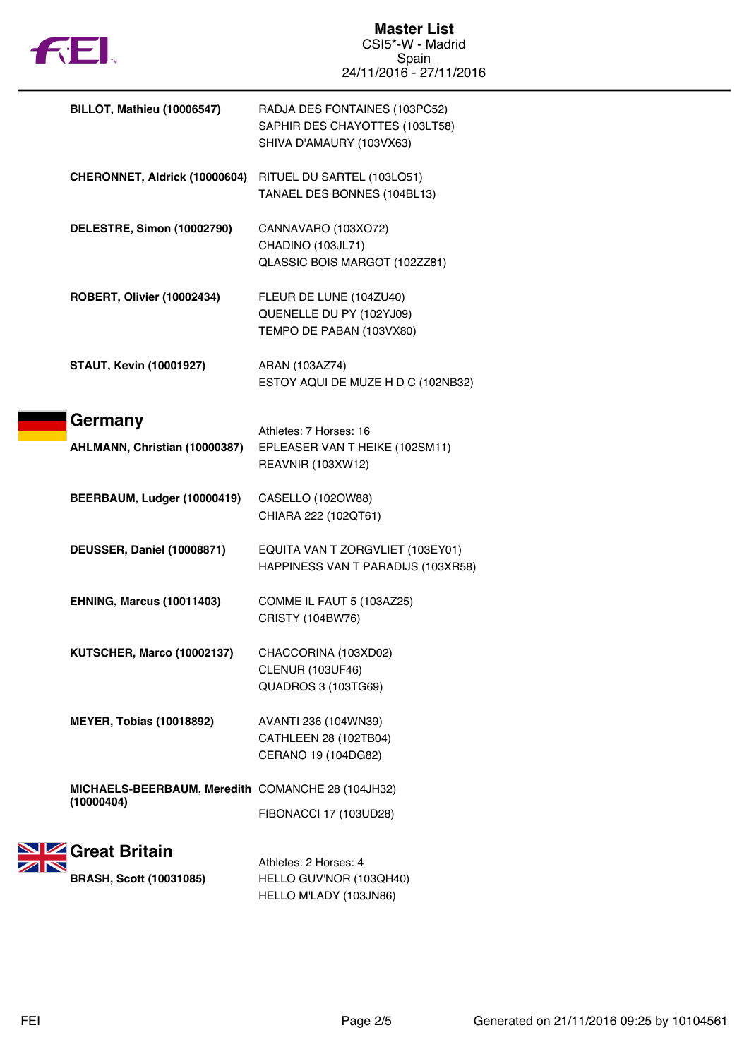

| <b>BILLOT, Mathieu (10006547)</b>                               | RADJA DES FONTAINES (103PC52)<br>SAPHIR DES CHAYOTTES (103LT58)<br>SHIVA D'AMAURY (103VX63) |
|-----------------------------------------------------------------|---------------------------------------------------------------------------------------------|
| CHERONNET, Aldrick (10000604)                                   | RITUEL DU SARTEL (103LQ51)<br>TANAEL DES BONNES (104BL13)                                   |
| DELESTRE, Simon (10002790)                                      | CANNAVARO (103XO72)<br>CHADINO (103JL71)<br>QLASSIC BOIS MARGOT (102ZZ81)                   |
| <b>ROBERT, Olivier (10002434)</b>                               | FLEUR DE LUNE (104ZU40)<br>QUENELLE DU PY (102YJ09)<br>TEMPO DE PABAN (103VX80)             |
| <b>STAUT, Kevin (10001927)</b>                                  | ARAN (103AZ74)<br>ESTOY AQUI DE MUZE H D C (102NB32)                                        |
| Germany<br>AHLMANN, Christian (10000387)                        | Athletes: 7 Horses: 16<br>EPLEASER VAN T HEIKE (102SM11)<br><b>REAVNIR (103XW12)</b>        |
| BEERBAUM, Ludger (10000419)                                     | CASELLO (102OW88)<br>CHIARA 222 (102QT61)                                                   |
| DEUSSER, Daniel (10008871)                                      | EQUITA VAN T ZORGVLIET (103EY01)<br>HAPPINESS VAN T PARADIJS (103XR58)                      |
| <b>EHNING, Marcus (10011403)</b>                                | COMME IL FAUT 5 (103AZ25)<br>CRISTY (104BW76)                                               |
| <b>KUTSCHER, Marco (10002137)</b>                               | CHACCORINA (103XD02)<br><b>CLENUR (103UF46)</b><br>QUADROS 3 (103TG69)                      |
| <b>MEYER, Tobias (10018892)</b>                                 | AVANTI 236 (104WN39)<br>CATHLEEN 28 (102TB04)<br>CERANO 19 (104DG82)                        |
| MICHAELS-BEERBAUM, Meredith COMANCHE 28 (104JH32)<br>(10000404) | FIBONACCI 17 (103UD28)                                                                      |
| <b>SIZ</b> Great Britain                                        |                                                                                             |
|                                                                 | Athletes: 2 Horses: 4                                                                       |
| <b>BRASH, Scott (10031085)</b>                                  | HELLO GUV'NOR (103QH40)<br>HELLO M'LADY (103JN86)                                           |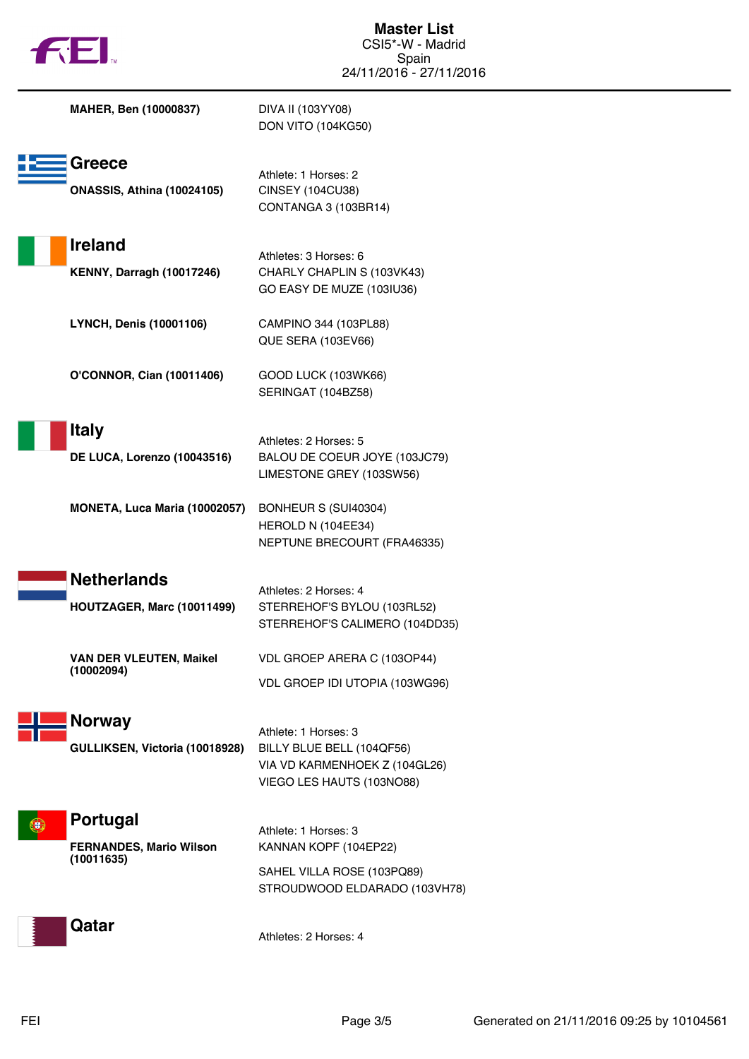| $\mathsf{H}$                                                  | CSI5*-W - Madrid<br>Spain<br>24/11/2016 - 27/11/2016                                                            |
|---------------------------------------------------------------|-----------------------------------------------------------------------------------------------------------------|
| MAHER, Ben (10000837)                                         | DIVA II (103YY08)<br><b>DON VITO (104KG50)</b>                                                                  |
| Greece<br><b>ONASSIS, Athina (10024105)</b>                   | Athlete: 1 Horses: 2<br><b>CINSEY (104CU38)</b><br>CONTANGA 3 (103BR14)                                         |
| <b>Ireland</b><br><b>KENNY, Darragh (10017246)</b>            | Athletes: 3 Horses: 6<br>CHARLY CHAPLIN S (103VK43)<br>GO EASY DE MUZE (103IU36)                                |
| <b>LYNCH, Denis (10001106)</b>                                | CAMPINO 344 (103PL88)<br>QUE SERA (103EV66)                                                                     |
| <b>O'CONNOR, Cian (10011406)</b>                              | GOOD LUCK (103WK66)<br>SERINGAT (104BZ58)                                                                       |
| <b>Italy</b><br>DE LUCA, Lorenzo (10043516)                   | Athletes: 2 Horses: 5<br>BALOU DE COEUR JOYE (103JC79)<br>LIMESTONE GREY (103SW56)                              |
| MONETA, Luca Maria (10002057)                                 | BONHEUR S (SUI40304)<br>HEROLD N (104EE34)<br>NEPTUNE BRECOURT (FRA46335)                                       |
| <b>Netherlands</b><br>HOUTZAGER, Marc (10011499)              | Athletes: 2 Horses: 4<br>STERREHOF'S BYLOU (103RL52)<br>STERREHOF'S CALIMERO (104DD35)                          |
| <b>VAN DER VLEUTEN, Maikel</b><br>(10002094)                  | VDL GROEP ARERA C (103OP44)<br>VDL GROEP IDI UTOPIA (103WG96)                                                   |
| <b>Norway</b><br>GULLIKSEN, Victoria (10018928)               | Athlete: 1 Horses: 3<br>BILLY BLUE BELL (104QF56)<br>VIA VD KARMENHOEK Z (104GL26)<br>VIEGO LES HAUTS (103NO88) |
| Portugal<br>Đ<br><b>FERNANDES, Mario Wilson</b><br>(10011635) | Athlete: 1 Horses: 3<br>KANNAN KOPF (104EP22)<br>SAHEL VILLA ROSE (103PQ89)<br>STROUDWOOD ELDARADO (103VH78)    |
| Qatar                                                         | Athletes: 2 Horses: 4                                                                                           |

 $-1$ 

**Master List**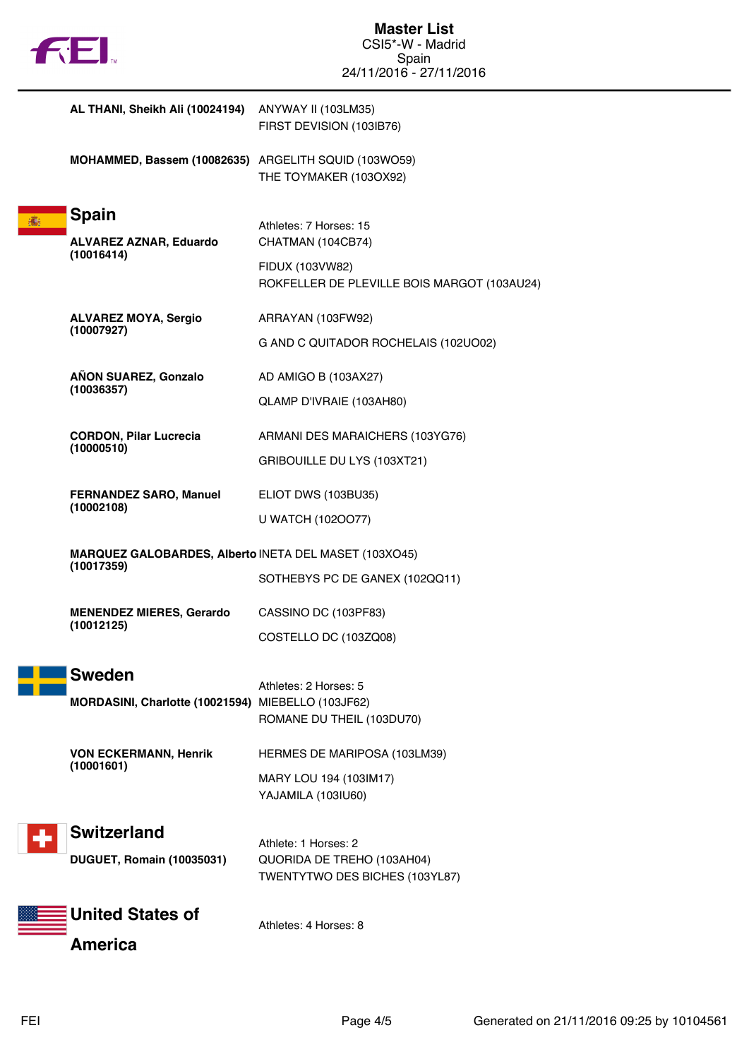|  | Ν |
|--|---|
|  |   |

|                                                                     | AL THANI, Sheikh Ali (10024194) ANYWAY II (103LM35)                 | FIRST DEVISION (103IB76)                                                                                      |
|---------------------------------------------------------------------|---------------------------------------------------------------------|---------------------------------------------------------------------------------------------------------------|
|                                                                     | MOHAMMED, Bassem (10082635) ARGELITH SQUID (103WO59)                | THE TOYMAKER (103OX92)                                                                                        |
| 瀛                                                                   | <b>Spain</b><br><b>ALVAREZ AZNAR, Eduardo</b><br>(10016414)         | Athletes: 7 Horses: 15<br>CHATMAN (104CB74)<br>FIDUX (103VW82)<br>ROKFELLER DE PLEVILLE BOIS MARGOT (103AU24) |
|                                                                     | <b>ALVAREZ MOYA, Sergio</b><br>(10007927)                           | ARRAYAN (103FW92)<br>G AND C QUITADOR ROCHELAIS (102UO02)                                                     |
|                                                                     | AÑON SUAREZ, Gonzalo<br>(10036357)                                  | AD AMIGO B (103AX27)<br>QLAMP D'IVRAIE (103AH80)                                                              |
|                                                                     | <b>CORDON, Pilar Lucrecia</b><br>(10000510)                         | ARMANI DES MARAICHERS (103YG76)<br>GRIBOUILLE DU LYS (103XT21)                                                |
|                                                                     | <b>FERNANDEZ SARO, Manuel</b><br>(10002108)                         | ELIOT DWS (103BU35)<br>U WATCH (1020077)                                                                      |
| MARQUEZ GALOBARDES, Alberto INETA DEL MASET (103XO45)<br>(10017359) |                                                                     | SOTHEBYS PC DE GANEX (102QQ11)                                                                                |
|                                                                     | <b>MENENDEZ MIERES, Gerardo</b><br>(10012125)                       | CASSINO DC (103PF83)<br>COSTELLO DC (103ZQ08)                                                                 |
|                                                                     | <b>Sweden</b><br>MORDASINI, Charlotte (10021594) MIEBELLO (103JF62) | Athletes: 2 Horses: 5<br>ROMANE DU THEIL (103DU70)                                                            |
|                                                                     | <b>VON ECKERMANN, Henrik</b><br>(10001601)                          | HERMES DE MARIPOSA (103LM39)<br>MARY LOU 194 (103IM17)<br>YAJAMILA (103IU60)                                  |
|                                                                     | <b>Switzerland</b><br><b>DUGUET, Romain (10035031)</b>              | Athlete: 1 Horses: 2<br>QUORIDA DE TREHO (103AH04)<br>TWENTYTWO DES BICHES (103YL87)                          |
|                                                                     | <b>United States of</b><br><b>America</b>                           | Athletes: 4 Horses: 8                                                                                         |